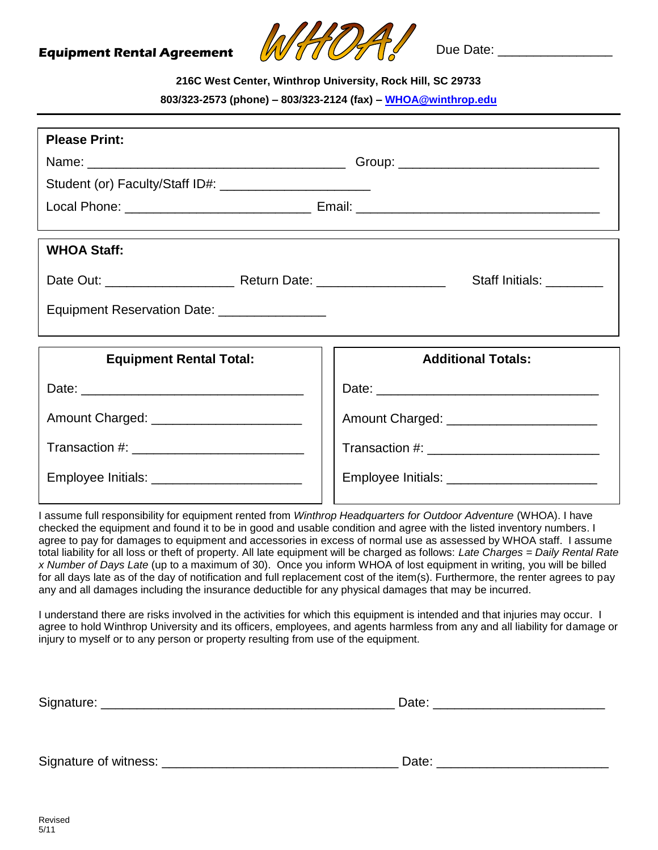# **Equipment Rental Agreement**



Due Date:

## **216C West Center, Winthrop University, Rock Hill, SC 29733**

**803/323-2573 (phone) – 803/323-2124 (fax) – [WHOA@winthrop.edu](mailto:WHOA@winthrop.edu)**

| <b>Please Print:</b>                           |                                              |  |  |  |  |  |  |
|------------------------------------------------|----------------------------------------------|--|--|--|--|--|--|
|                                                |                                              |  |  |  |  |  |  |
|                                                |                                              |  |  |  |  |  |  |
|                                                |                                              |  |  |  |  |  |  |
| <b>WHOA Staff:</b>                             |                                              |  |  |  |  |  |  |
|                                                | Staff Initials: ________                     |  |  |  |  |  |  |
| Equipment Reservation Date: _________________  |                                              |  |  |  |  |  |  |
| <b>Equipment Rental Total:</b>                 | <b>Additional Totals:</b>                    |  |  |  |  |  |  |
|                                                |                                              |  |  |  |  |  |  |
| Amount Charged: ___________________________    | Amount Charged: ____________________________ |  |  |  |  |  |  |
| Transaction #: _______________________________ |                                              |  |  |  |  |  |  |
| Employee Initials: _________________________   |                                              |  |  |  |  |  |  |

I assume full responsibility for equipment rented from *Winthrop Headquarters for Outdoor Adventure* (WHOA). I have checked the equipment and found it to be in good and usable condition and agree with the listed inventory numbers. I agree to pay for damages to equipment and accessories in excess of normal use as assessed by WHOA staff. I assume total liability for all loss or theft of property. All late equipment will be charged as follows: *Late Charges = Daily Rental Rate x Number of Days Late* (up to a maximum of 30). Once you inform WHOA of lost equipment in writing, you will be billed for all days late as of the day of notification and full replacement cost of the item(s). Furthermore, the renter agrees to pay any and all damages including the insurance deductible for any physical damages that may be incurred.

I understand there are risks involved in the activities for which this equipment is intended and that injuries may occur. I agree to hold Winthrop University and its officers, employees, and agents harmless from any and all liability for damage or injury to myself or to any person or property resulting from use of the equipment.

| Signature:            | Date: |  |  |  |
|-----------------------|-------|--|--|--|
|                       |       |  |  |  |
|                       |       |  |  |  |
| Signature of witness: | Date: |  |  |  |